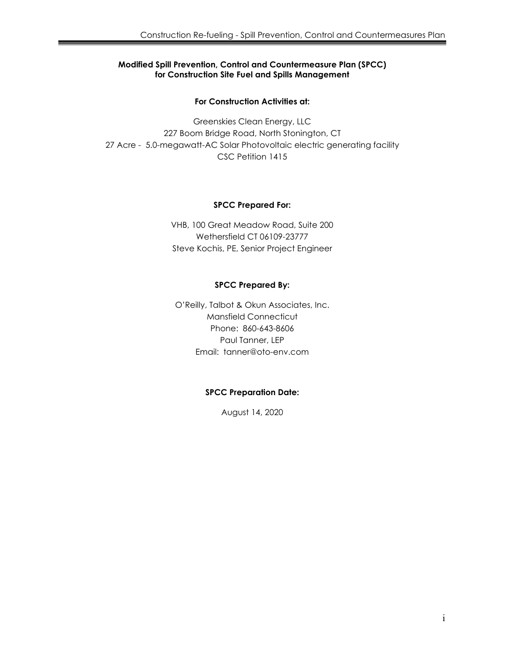### **Modified Spill Prevention, Control and Countermeasure Plan (SPCC) for Construction Site Fuel and Spills Management**

### **For Construction Activities at:**

Greenskies Clean Energy, LLC 227 Boom Bridge Road, North Stonington, CT 27 Acre - 5.0-megawatt-AC Solar Photovoltaic electric generating facility CSC Petition 1415

#### **SPCC Prepared For:**

VHB, 100 Great Meadow Road, Suite 200 Wethersfield CT 06109-23777 Steve Kochis, PE, Senior Project Engineer

# **SPCC Prepared By:**

O'Reilly, Talbot & Okun Associates, Inc. Mansfield Connecticut Phone: 860-643-8606 Paul Tanner, LEP Email: tanner@oto-env.com

# **SPCC Preparation Date:**

August 14, 2020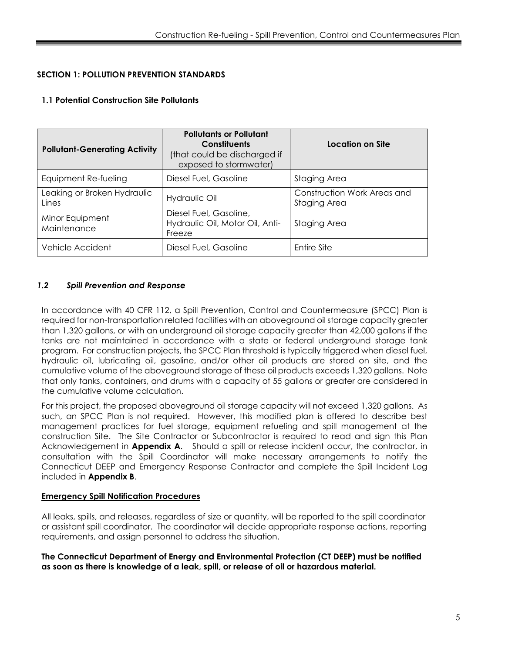# **SECTION 1: POLLUTION PREVENTION STANDARDS**

# **1.1 Potential Construction Site Pollutants**

| <b>Pollutant-Generating Activity</b> | <b>Pollutants or Pollutant</b><br><b>Constituents</b><br>(that could be discharged if<br>exposed to stormwater) | Location on Site                            |  |
|--------------------------------------|-----------------------------------------------------------------------------------------------------------------|---------------------------------------------|--|
| Equipment Re-fueling                 | Diesel Fuel, Gasoline                                                                                           | Staging Area                                |  |
| Leaking or Broken Hydraulic<br>Lines | Hydraulic Oil                                                                                                   | Construction Work Areas and<br>Staging Area |  |
| Minor Equipment<br>Maintenance       | Diesel Fuel, Gasoline,<br>Hydraulic Oil, Motor Oil, Anti-<br>Freeze                                             | Staging Area                                |  |
| Vehicle Accident                     | Diesel Fuel, Gasoline                                                                                           | Entire Site                                 |  |

# *1.2 Spill Prevention and Response*

In accordance with 40 CFR 112, a Spill Prevention, Control and Countermeasure (SPCC) Plan is required for non-transportation related facilities with an aboveground oil storage capacity greater than 1,320 gallons, or with an underground oil storage capacity greater than 42,000 gallons if the tanks are not maintained in accordance with a state or federal underground storage tank program. For construction projects, the SPCC Plan threshold is typically triggered when diesel fuel, hydraulic oil, lubricating oil, gasoline, and/or other oil products are stored on site, and the cumulative volume of the aboveground storage of these oil products exceeds 1,320 gallons. Note that only tanks, containers, and drums with a capacity of 55 gallons or greater are considered in the cumulative volume calculation.

For this project, the proposed aboveground oil storage capacity will not exceed 1,320 gallons. As such, an SPCC Plan is not required. However, this modified plan is offered to describe best management practices for fuel storage, equipment refueling and spill management at the construction Site. The Site Contractor or Subcontractor is required to read and sign this Plan Acknowledgement in **Appendix A**. Should a spill or release incident occur, the contractor, in consultation with the Spill Coordinator will make necessary arrangements to notify the Connecticut DEEP and Emergency Response Contractor and complete the Spill Incident Log included in **Appendix B**.

# **Emergency Spill Notification Procedures**

All leaks, spills, and releases, regardless of size or quantity, will be reported to the spill coordinator or assistant spill coordinator. The coordinator will decide appropriate response actions, reporting requirements, and assign personnel to address the situation.

**The Connecticut Department of Energy and Environmental Protection (CT DEEP) must be notified as soon as there is knowledge of a leak, spill, or release of oil or hazardous material.**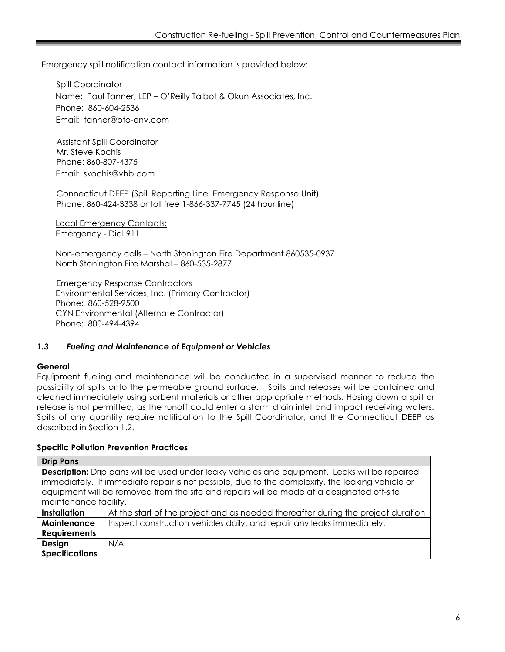Emergency spill notification contact information is provided below:

Spill Coordinator Name: Paul Tanner, LEP – O'Reilly Talbot & Okun Associates, Inc. Phone: 860-604-2536 Email: tanner@oto-env.com

Assistant Spill Coordinator Mr. Steve Kochis Phone: 860-807-4375 Email: skochis@vhb.com

Connecticut DEEP (Spill Reporting Line, Emergency Response Unit) Phone: 860-424-3338 or toll free 1-866-337-7745 (24 hour line)

Local Emergency Contacts: Emergency - Dial 911

Non-emergency calls – North Stonington Fire Department 860535-0937 North Stonington Fire Marshal – 860-535-2877

Emergency Response Contractors Environmental Services, Inc. (Primary Contractor) Phone: 860-528-9500 CYN Environmental (Alternate Contractor) Phone: 800-494-4394

#### *1.3 Fueling and Maintenance of Equipment or Vehicles*

#### **General**

Equipment fueling and maintenance will be conducted in a supervised manner to reduce the possibility of spills onto the permeable ground surface. Spills and releases will be contained and cleaned immediately using sorbent materials or other appropriate methods. Hosing down a spill or release is not permitted, as the runoff could enter a storm drain inlet and impact receiving waters. Spills of any quantity require notification to the Spill Coordinator, and the Connecticut DEEP as described in Section 1.2.

#### **Specific Pollution Prevention Practices**

| <b>Drip Pans</b>                                                                                      |                                                                                  |  |
|-------------------------------------------------------------------------------------------------------|----------------------------------------------------------------------------------|--|
| <b>Description:</b> Drip pans will be used under leaky vehicles and equipment. Leaks will be repaired |                                                                                  |  |
| immediately. If immediate repair is not possible, due to the complexity, the leaking vehicle or       |                                                                                  |  |
| equipment will be removed from the site and repairs will be made at a designated off-site             |                                                                                  |  |
| maintenance facility.                                                                                 |                                                                                  |  |
| <b>Installation</b>                                                                                   | At the start of the project and as needed thereafter during the project duration |  |
| Maintenance                                                                                           | Inspect construction vehicles daily, and repair any leaks immediately.           |  |
| <b>Requirements</b>                                                                                   |                                                                                  |  |
| Design                                                                                                | N/A                                                                              |  |
| <b>Specifications</b>                                                                                 |                                                                                  |  |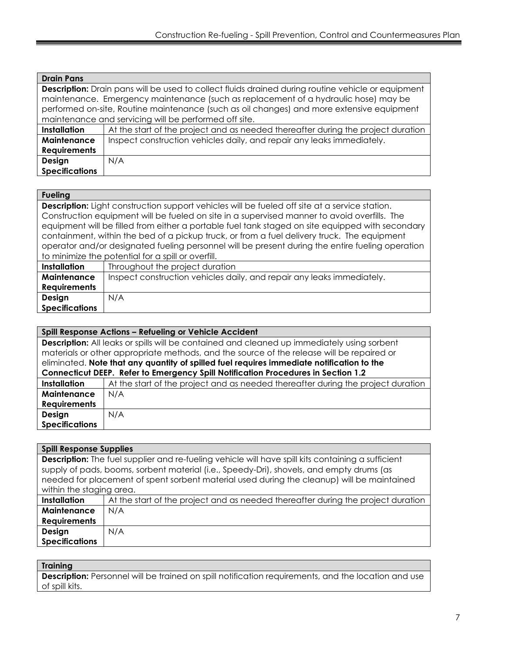| <b>Drain Pans</b>                                                                                         |                                                                                  |  |
|-----------------------------------------------------------------------------------------------------------|----------------------------------------------------------------------------------|--|
| <b>Description:</b> Drain pans will be used to collect fluids drained during routine vehicle or equipment |                                                                                  |  |
| maintenance. Emergency maintenance (such as replacement of a hydraulic hose) may be                       |                                                                                  |  |
| performed on-site, Routine maintenance (such as oil changes) and more extensive equipment                 |                                                                                  |  |
| maintenance and servicing will be performed off site.                                                     |                                                                                  |  |
| <b>Installation</b>                                                                                       | At the start of the project and as needed thereafter during the project duration |  |
| Maintenance                                                                                               | Inspect construction vehicles daily, and repair any leaks immediately.           |  |
| <b>Requirements</b>                                                                                       |                                                                                  |  |
| Design                                                                                                    | N/A                                                                              |  |
| <b>Specifications</b>                                                                                     |                                                                                  |  |

#### **Fueling**

**Description:** Light construction support vehicles will be fueled off site at a service station. Construction equipment will be fueled on site in a supervised manner to avoid overfills. The equipment will be filled from either a portable fuel tank staged on site equipped with secondary containment, within the bed of a pickup truck, or from a fuel delivery truck. The equipment operator and/or designated fueling personnel will be present during the entire fueling operation to minimize the potential for a spill or overfill.

| Installation          | Throughout the project duration                                        |
|-----------------------|------------------------------------------------------------------------|
| Maintenance           | Inspect construction vehicles daily, and repair any leaks immediately. |
| <b>Requirements</b>   |                                                                        |
| Design                | N/A                                                                    |
| <b>Specifications</b> |                                                                        |

| Spill Response Actions - Refueling or Vehicle Accident                                    |                                                                                                    |  |
|-------------------------------------------------------------------------------------------|----------------------------------------------------------------------------------------------------|--|
|                                                                                           | <b>Description:</b> All leaks or spills will be contained and cleaned up immediately using sorbent |  |
| materials or other appropriate methods, and the source of the release will be repaired or |                                                                                                    |  |
| eliminated. Note that any quantity of spilled fuel requires immediate notification to the |                                                                                                    |  |
| Connecticut DEEP. Refer to Emergency Spill Notification Procedures in Section 1.2         |                                                                                                    |  |
| <b>Installation</b>                                                                       | At the start of the project and as needed thereafter during the project duration                   |  |
| Maintenance                                                                               | N/A                                                                                                |  |
| <b>Requirements</b>                                                                       |                                                                                                    |  |
| Design                                                                                    | N/A                                                                                                |  |
| <b>Specifications</b>                                                                     |                                                                                                    |  |

| <b>Spill Response Supplies</b>                                                                            |                                                                                  |  |
|-----------------------------------------------------------------------------------------------------------|----------------------------------------------------------------------------------|--|
| <b>Description:</b> The fuel supplier and re-fueling vehicle will have spill kits containing a sufficient |                                                                                  |  |
| supply of pads, booms, sorbent material (i.e., Speedy-Dri), shovels, and empty drums (as                  |                                                                                  |  |
| needed for placement of spent sorbent material used during the cleanup) will be maintained                |                                                                                  |  |
| within the staging area.                                                                                  |                                                                                  |  |
| <b>Installation</b>                                                                                       | At the start of the project and as needed thereafter during the project duration |  |
| Maintenance                                                                                               | N/A                                                                              |  |
| <b>Requirements</b>                                                                                       |                                                                                  |  |
| Design                                                                                                    | N/A                                                                              |  |
| <b>Specifications</b>                                                                                     |                                                                                  |  |

#### **Training**

**Description:** Personnel will be trained on spill notification requirements, and the location and use of spill kits.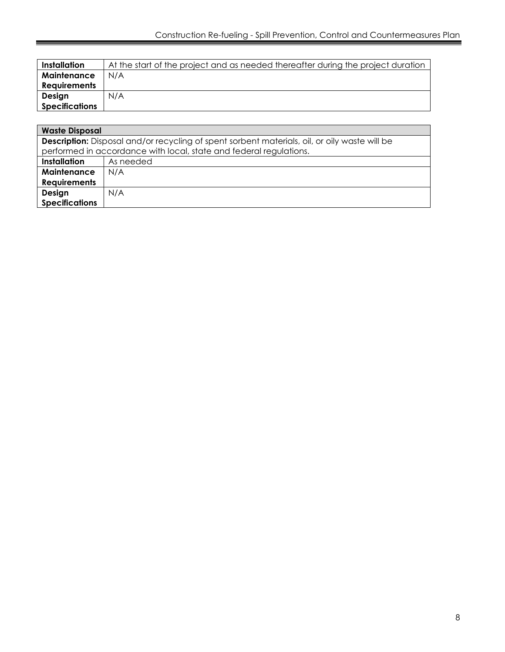| Installation          | At the start of the project and as needed thereafter during the project duration |
|-----------------------|----------------------------------------------------------------------------------|
| Maintenance           | N/A                                                                              |
| <b>Requirements</b>   |                                                                                  |
| Design                | N/A                                                                              |
| <b>Specifications</b> |                                                                                  |
|                       |                                                                                  |

| <b>Waste Disposal</b>                                                                                |           |  |
|------------------------------------------------------------------------------------------------------|-----------|--|
| <b>Description:</b> Disposal and/or recycling of spent sorbent materials, oil, or oily waste will be |           |  |
| performed in accordance with local, state and federal regulations.                                   |           |  |
| <b>Installation</b>                                                                                  | As needed |  |
| Maintenance                                                                                          | N/A       |  |
| <b>Requirements</b>                                                                                  |           |  |
| Design                                                                                               | N/A       |  |
| <b>Specifications</b>                                                                                |           |  |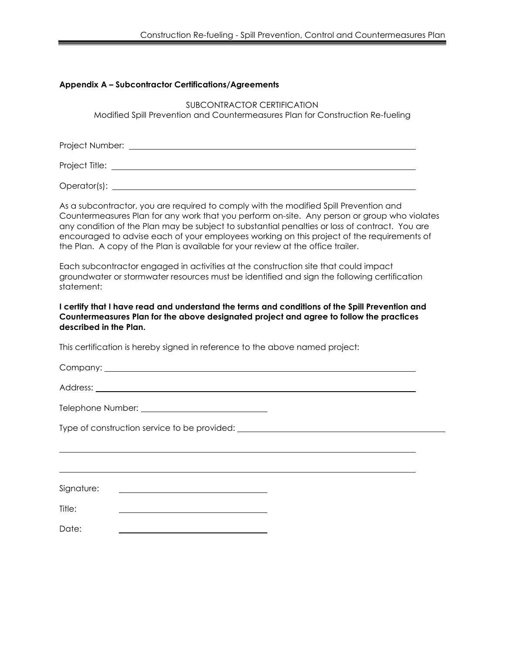#### **Appendix A – Subcontractor Certifications/Agreements**

SUBCONTRACTOR CERTIFICATION Modified Spill Prevention and Countermeasures Plan for Construction Re-fueling

Project Number:

Project Title:

Operator(s):

As a subcontractor, you are required to comply with the modified Spill Prevention and Countermeasures Plan for any work that you perform on-site. Any person or group who violates any condition of the Plan may be subject to substantial penalties or loss of contract. You are encouraged to advise each of your employees working on this project of the requirements of the Plan. A copy of the Plan is available for your review at the office trailer.

Each subcontractor engaged in activities at the construction site that could impact groundwater or stormwater resources must be identified and sign the following certification statement:

**I certify that I have read and understand the terms and conditions of the Spill Prevention and Countermeasures Plan for the above designated project and agree to follow the practices described in the Plan.** 

l.

This certification is hereby signed in reference to the above named project:

Company: <u>company:</u> company: company: company: company: company: company: company: company: company: company: company: company: company: company: company: company: company: company: company: company: company: company: comp

Address: the contract of the contract of the contract of the contract of the contract of the contract of the contract of the contract of the contract of the contract of the contract of the contract of the contract of the c

Telephone Number: National Assembly of the Muslim Contract of the Muslim Contract of the Muslim Contract of the Muslim Contract of the Muslim Contract of the Muslim Contract of the Muslim Contract of the Muslim Contract of

Type of construction service to be provided:

Signature:

Title:

Date: